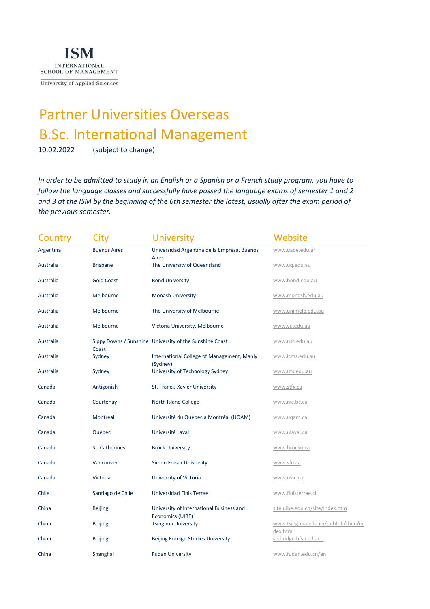

University of Applied Sciences

## Partner Universities Overseas B.Sc. International Management

10.02.2022 (subject to change)

*In order to be admitted to study in an English or a Spanish or a French study program, you have to follow the language classes and successfully have passed the language exams of semester 1 and 2 and 3 at the ISM by the beginning of the 6th semester the latest, usually after the exam period of the previous semester.* 

| Country   | City                | <b>University</b>                                       | Website                             |
|-----------|---------------------|---------------------------------------------------------|-------------------------------------|
| Argentina | <b>Buenos Aires</b> | Universidad Argentina de la Empresa, Buenos             | www.uade.edu.ar                     |
| Australia | <b>Brisbane</b>     | Aires<br>The University of Queensland                   | www.uq.edu.au                       |
| Australia | <b>Gold Coast</b>   | <b>Bond University</b>                                  | www.bond.edu.au                     |
| Australia | Melbourne           | <b>Monash University</b>                                | www.monash.edu.au                   |
| Australia | Melbourne           | The University of Melbourne                             | www.unimelb.edu.au                  |
| Australia | Melbourne           | Victoria University, Melbourne                          | www.vu.edu.au                       |
| Australia |                     | Sippy Downs / Sunshine University of the Sunshine Coast | www.usc.edu.au                      |
| Australia | Coast<br>Sydney     | International College of Management, Manly              | www.icms.edu.au                     |
| Australia | Sydney              | (Sydney)<br>University of Technology Sydney             | www.uts.edu.au                      |
| Canada    | Antigonish          | St. Francis Xavier University                           | www.stfx.ca                         |
| Canada    | Courtenay           | <b>North Island College</b>                             | www.nic.bc.ca                       |
| Canada    | Montréal            | Université du Québec à Montréal (UQAM)                  | www.uqam.ca                         |
| Canada    | Québec              | Université Laval                                        | www.ulaval.ca                       |
| Canada    | St. Catherines      | <b>Brock University</b>                                 | www.brocku.ca                       |
| Canada    | Vancouver           | <b>Simon Fraser University</b>                          | www.sfu.ca                          |
| Canada    | Victoria            | University of Victoria                                  | www.uvic.ca                         |
| Chile     | Santiago de Chile   | Universidad Finis Terrae                                | www.finisterrae.cl                  |
| China     | <b>Beijing</b>      | University of International Business and                | site.uibe.edu.cn/site/index.htm     |
| China     | <b>Beijing</b>      | Economics (UIBE)<br><b>Tsinghua University</b>          | www.tsinghua.edu.cn/publish/then/in |
| China     | <b>Beijing</b>      | Beijing Foreign Studies University                      | dex.html<br>solbridge.bfsu.edu.cn   |
| China     | Shanghai            | <b>Fudan University</b>                                 | www.fudan.edu.cn/en                 |